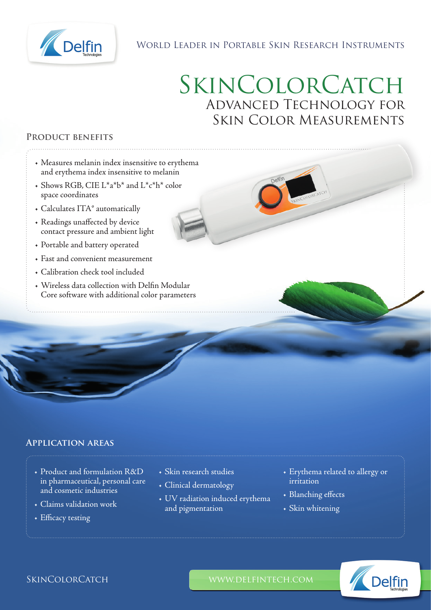

# World Leader in Portable Skin Research Instruments

# SKINCOLORCATCH Advanced Technology for Skin Color Measurements

### **Product benefits**

- Measures melanin index insensitive to erythema and erythema index insensitive to melanin
- Shows RGB, CIE L\*a\*b\* and L\*c\*h\* color space coordinates
- Calculates ITA° automatically
- Readings unaffected by device contact pressure and ambient light
- Portable and battery operated
- Fast and convenient measurement
- Calibration check tool included
- Wireless data collection with Delfin Modular Core software with additional color parameters

## **Application areas**

- Product and formulation R&D in pharmaceutical, personal care and cosmetic industries
- Claims validation work
- Efficacy testing
- Skin research studies
- Clinical dermatology
- UV radiation induced erythema and pigmentation
- Erythema related to allergy or irritation
- Blanching effects
- Skin whitening



SKINCOLORCATCH WWW.DELFINTECH.COM